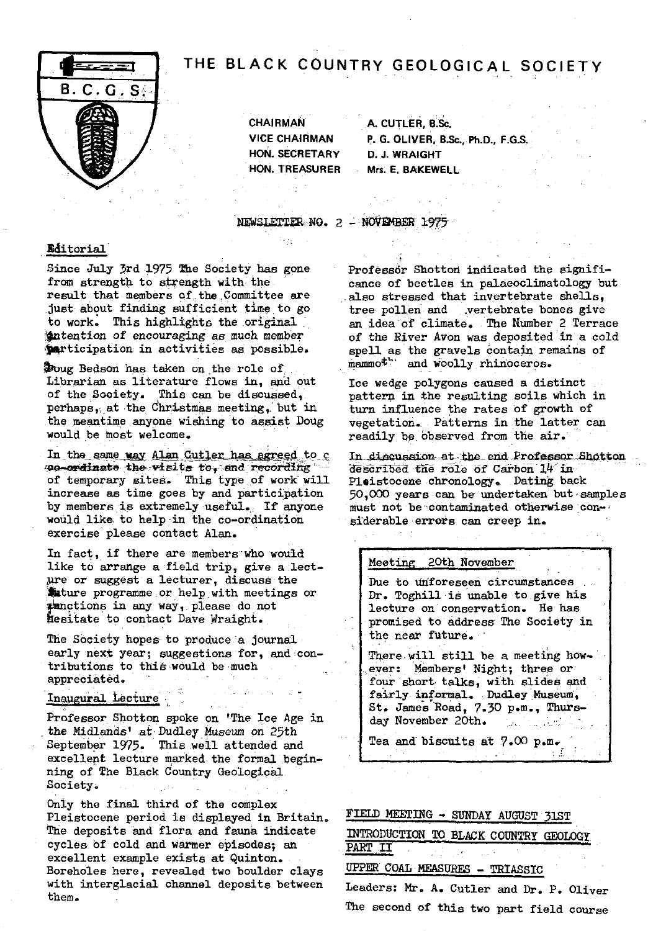# THE BLACK COUNTRY GEOLOGICAL SOCIETY



**7** CHAIRMAN A. CUTLER, B.Sc. HON. SECRETARY D. J. WRAIGHT

**VICE CHAIRMAN** P. **G. OLIVER,** B.Sc., Ph.D., F.G.S,. HON. TREASURER Mrs. **E. BAKEWELL**

NEWSLETTER-NO. 2 - NOVEMBER 1975

### Editorial

Since July 3rd 1975 The Society has gone from strength to strength with the result that members at. the ,Committee are just about finding sufficient time to go to work. This highlights the original intention of encouraging as much member participation in activities as possible.

ug Bedson has taken on the role of; Librarian as literature flows in, and out of the Society. This can be discussed,. perhaps,;.at the Christmas *meeting,.' but in* the meantime anyone wishing to assist. Doug would be most welcome.

In the same way Alan Cutler has agreed to c **so-ordinate the visits to, and recording** of temporary sites. This type of work will increase as time goes by and participation by members is extremely useful. If anyone would like to help in the co-ordination exercise please contact Alan.

In fact, if there are members who would like to arrange a field trip, give a lectare or suggest a lecturer, discuss the `mature programme;or help with meetings or unctions in any way,.please do not hesitate to contact Dave Wraight.

The Society hopes-to produce a journal early next year; suggestions for, and contributions to this would be much appreciated.

# Inaugural Lecture

Professor Shotton spoke on 'The Ice Age in . the Midlands' at • Dudley Museum on 25th September *1975.* **This** well attended and excellent lecture marked the formal begin**ning** of The Black Country Geological Society.

Only the final third of the complex Pleistocene period is displayed in Britain. The deposits and flora and fauna indicate cycles Of cold and warmer episodes; an excellent example exists at Quinton.. Boreholes here, revealed two boulder clays with interglacial channel deposits between them.

Professor Shotton indicated the significance of beetles in palaeoclimatology but also stressed that invertebrate shells, tree pollen and vertebrate bones give an idea of climate, The Humber 2. Terrace of the River Avon was deposited in a cold spell as the gravels contain remains of mammoth and woolly rhinoceros.

Ice wedge polygons caused a distinct pattern in the resulting soils which in turn influence the rates of growth of vegetation. Patterns in the latter can readily be observed from the air.

In discussion at the end Professor Shotton described the role of Carbon  $14$  in Pleistocene chronology. Dating back 50,000 years can be undertaken but samples • must not be contaminated otherwise considerable errors can creep in.

### Meeting 20th November

Due to unforeseen circumstances Dr. Toghill is unable to give his lecture on conservation. He has promised to address The Society in the near future,

There will still be a meeting however: Members' Night; three or four short talks, with slides and fairly- informal. . Dudley Museum, St. James Road, 7.30 p.m., Thursday November 20th. المتحاف والمتار المتعاقبين

is E

Tea and biscuits at 7.00

### FIELD MEETING - SUNDAY AUGUST 31ST

INTRODUCTION TO BLACK CODNTRY GEOLOGY PART II

UPPER COAL MEASURES - TRIASSIC

Leaders: Mr. A. Cutler and Dr. P. Oliver The second of this two part field course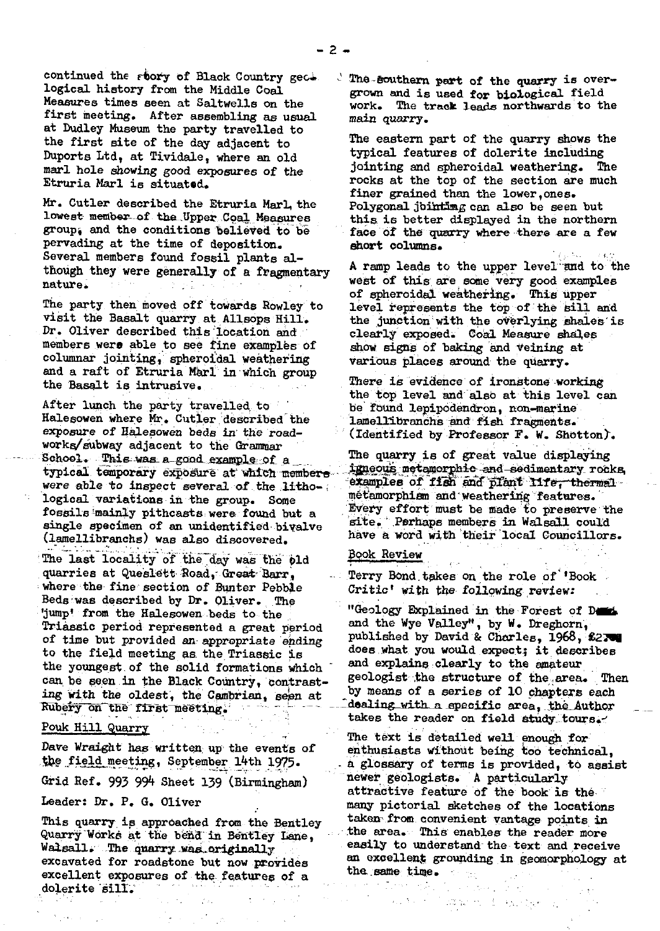continued the *Fbory* of Black Country gec. logical history from the Middle Coal. Measures times seen at Saltwells on the first meeting. After assembling as usual at Dudley Museum the party travelled to the first site of the day adjacent to Duports Ltd, at Tividale, where an old marl hole showing good exposures of the Etruria Marl is situated.

Mr. Cutler described the Etruria Marl, the lowest member of the Upper Coal Measures group; and the conditions' believed to be pervading at the time of deposition. Several members found fossil plants although they were generally of a fragmentary nature.

The party then moved off towards Rowley to visit the Basalt quarry at Allsops Hill. Dr. Oliver described this location and members were able to see fine examples of columnar jointing, spheroidal weathering and a raft of Etruria Marl in which group the Basalt is intrusive.

After lunch the party travelled to be found lepipodendron, non-marine<br>Halesowen where Mr. Cutler described the lamellibranchs and fish fragments. Halesowen where Mr. Cutler described the lamellibranchs and fish fragments.<br>Exposure of Halesowen beds in the road- (Identified by Professor F. W. Shot works/subway adjacent to the Grammar School. This was a good example of a typical temporary exposure at which members Hangous metamorphic and sedimentary rocks<br>were able to inspect several of the litho- examples of fish and plant life, thermal were able to inspect several of the litho- sexamples of fish and plant life, there<br>logical variations in the group. Some metamorphism and weathering features. logical variations in the group. Some<br>fossils mainly pithcasts were found but a single specimen of an unidentified bivalve site. Perhaps members in Walsall could could a low the site of the sit<br>(lamellibranche) was also discovered have a word with their local Councillors. (lamellibranchs) was also discovered.

The last locality of the day was the pld Book Review quarries at Queslett Road, Great Barr, Terry Bond quarries at Queslett :Road,-Grant Barr ., **... Terry** Bond.takes on the role **of 'Book** Beds-was described by Dr. Oliver. The 'jump' from the **Halesowen beds** to the Triassic period represented a great period and the Wye Valley", by W. Dreghorn,<br>of time but provided an appropriate ending published by David & Charles, 1968, \$270 of time but provided an appropriate ending to the field meeting as the Triassic is the youngest of the solid formations which - and explains clearly to the amateur<br>can be seen in the Black Country, contrast. Beologist the structure of the area. can be seen in the Black Country, contrast-<br>ing with the oldest the Combrian, seen at by means of a series of 10 chapters each ing with the oldest, the Cambrian, seen at by means of a series of 10 chapters each Rubery on the first meeting.

Grid Ref. 993 994 Sheet 139 (Birmingham)

Leader: Dr. P. G. Oliver

This quarry. is approached **from the** Bentley Quarry Works at the bend in Bentley Lane, Walsall. The quarry was originally excavated for roadstone but now provides excellent exposures of the features of a dolerite 'sill.`

The southern part of the quarry is overgrown and is used for biological field work. The track **leads** northwards to the main quarry.

The eastern part of the quarry shows the typical features of dolerite including jointing and spheroidal weathering. The rocks at the top of the section are much finer grained than the lower,ones. Polygonal jointing can also be seen but thi**s** is better displayed in the northern face of the quarry where there are a few short columns.

A ramp leads to the upper level and to the west of this are some very good examples of spheroidal weathering. This upper level represents the top of the sill and the junction with the overlying bhales'is clearly exposed. Coal Measure shales show signs of baking and veining at various places around the quarry.

There is evidence of ironstone working the top level and also at this level can (Identified by Professor F. W. Shotton).

The quarry is of great value displaying igneous metamorphic and sedimentary rocks Every effort must be made to preserve the site. Perhaps members in Walsall could

Critic' with the following review:

"Geology Explained in the Forest of D does what you would expect; it describes and explains clearly to the amateur dealing with a specific area, the Author takes the reader on field **study tours** Pouk Hill Quarry

-

The text is detailed well enough for Dave Wraight has written up the events of enthusiasts without being too technical, the field meeting, September 14th 1975.  $\frac{1}{2}$  a glossary of terms is provided, to assi a glossary of terms is provided, to assist<br>newer geologists. A particularly attractive feature of the book is the many pictorial sketches of the locations teken• .from.convenient vantage points **in** the area. Thi**s.** enables the reader more easily to understand the text and receive an excellent grounding in geomorphology at the same time.

端额的过去式和过去分词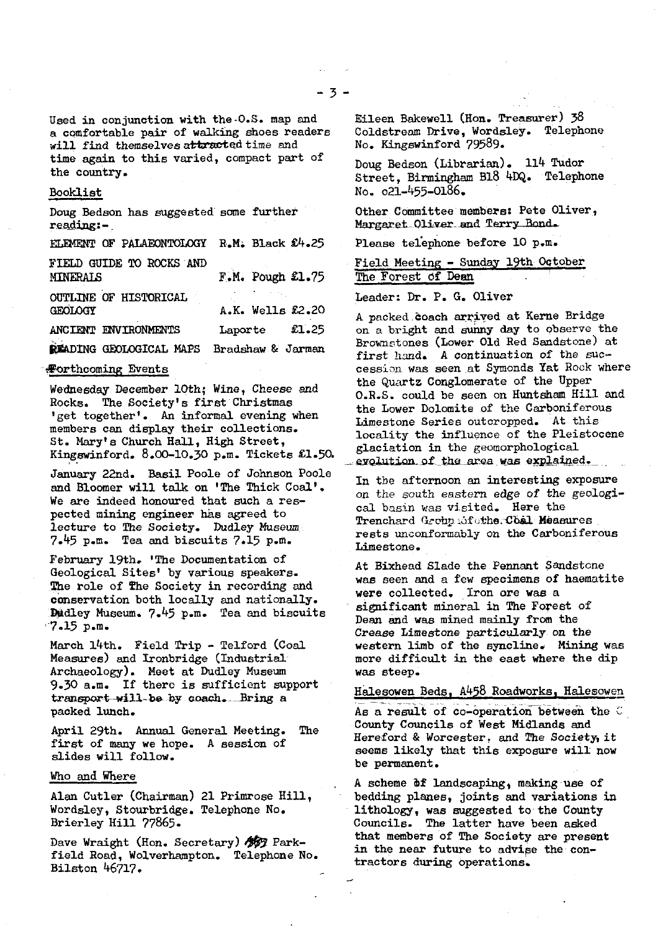Used in conjunction with the-O.S. map and a comfortable pair of walking shoes readers will find themselves attracted time and time again to this varied, compact part of the country.

### Booklist

Doug Bedson has suggested some further reading:-

| ELEMENT OF PALAEONTOLOGY R.M. Black £4.25      |                      |
|------------------------------------------------|----------------------|
| FIELD GUIDE TO ROCKS AND<br><b>MINERALS</b>    | $F.M.$ Pough $£1.75$ |
| <b>OUTLINE OF HISTORICAL</b><br><b>GEOLOGY</b> | A.K. Wells £2.20     |
| ANCIENT ENVIRONMENTS                           | £1.25<br>Laporte     |
| READING GEOLOGICAL MAPS                        | Bradshaw & Jarman    |

### **Forthcoming Events**

Wednesday December 10th; Wine, Cheese and Rocks. The Society's first Christmas 'get together'. An informal evening when members can display their collections. St. Mary's Church Hall, High Street, Kingswinford. 8.00-10.30 p.m. Tickets £1.50.

January 22nd. Basil Poole of Johnson Poole and Bloomer will talk on 'The Thick Coal'. We are indeed honoured that such a respected mining engineer has agreed to lecture to The Society. Dudley Museum 7.45 p.m. Tea and biscuits 7.15 p.m.

February 19th. 'The Documentation of Geological Sites' by various speakers. The role of The Society in recording and conservation both locally and nationally. Dudley Museum. 7.45 p.m. Tea and biscuits -7.15 p.m.

March 14th. Field Trip - Telford (Coal Measures) and Ironbridge (Industrial Archaeology). Meet at Dudley Museum 9.30 a.m. If there is sufficient support transport-will-be by coach. Bring a packed lunch.

April 29th. Annual General Meeting. The first **of** many we hope. A session **of** slides will follow.

### Who and Where

Alan Cutler (Chairman) 21 Primrose Hill, Wordsley, Stourbridge. Telephone No. Brierley Hill 77865.

Dave Wraight (Hon. Secretary) 437 Parkfield Road, Wolverhampton. Telephone No. Bilston 46717.

Eileen Bakewell (Hon. Treasurer) 38 Coldstream Drive, Wordsley. Telephone No. Kingswinford 79589.

Doug Bedson (Librarian). 114 Tudor Street, Birmingham B18 4DQ. Telephone No. o21-455-01\$6.

Other Committee members: Pete Oliver, Margaret Oliver and Terry Bond.

Please telephone before 10 p.m.

Field Meeting -Sunday **19th** October ....\_... The Forest of Dean

### Leader: Dr. P. G. Oliver

A packed coach arrived at Kerne Bridge on a bright and sunny day to observe the Brownstones (Lower Old Red Sandstone) at first hand. A continuation of the successin was seen at Symonds Tat Rock where the Quartz Conglomerate of the Upper O.R.S. could be seen on Huntsham Hill and the Lower Dolomite of the Carboniferous Limestone Series outcropped. At this locality the influence of the Pleistocene glaciation in the geomorphological glaciation in the geomorphological<br>evolution of the area was explained.

In the afternoon an interesting exposure on the south eastern edge of the geological basin was visited. Here the Cal Dasin was visited. Here the Company of the Company of the Company of the Company of the Company of the Company of the Company of the Company of the Company of the Company of the Company of the Company of the Company of rests unconformably on the Carboniferous Limestone.

At Bixhead Slade the Pennant Sandstone was seen and a few specimens of haematite were collected. Iron are was a significant mineral in The Forest of Dean and was mined mainly from the Crease Limestone particularly on the western limb of the syncline. Mining was more difficult in the east where the dip was steep.

## Halesowen Beds, A458 Roadworks, Halesowen

As a result of co-operation between the  $C$ County Councils of West Midlands and Hereford & Worcester, and The Society, it seems likely that this exposure will now be permanent.

A scheme bf landscaping, making use of bedding planes, joints and variations in lithology, was suggested to the County Councils. The latter have been asked that members of The Society are present in the near future to advipe the contractors during operations,